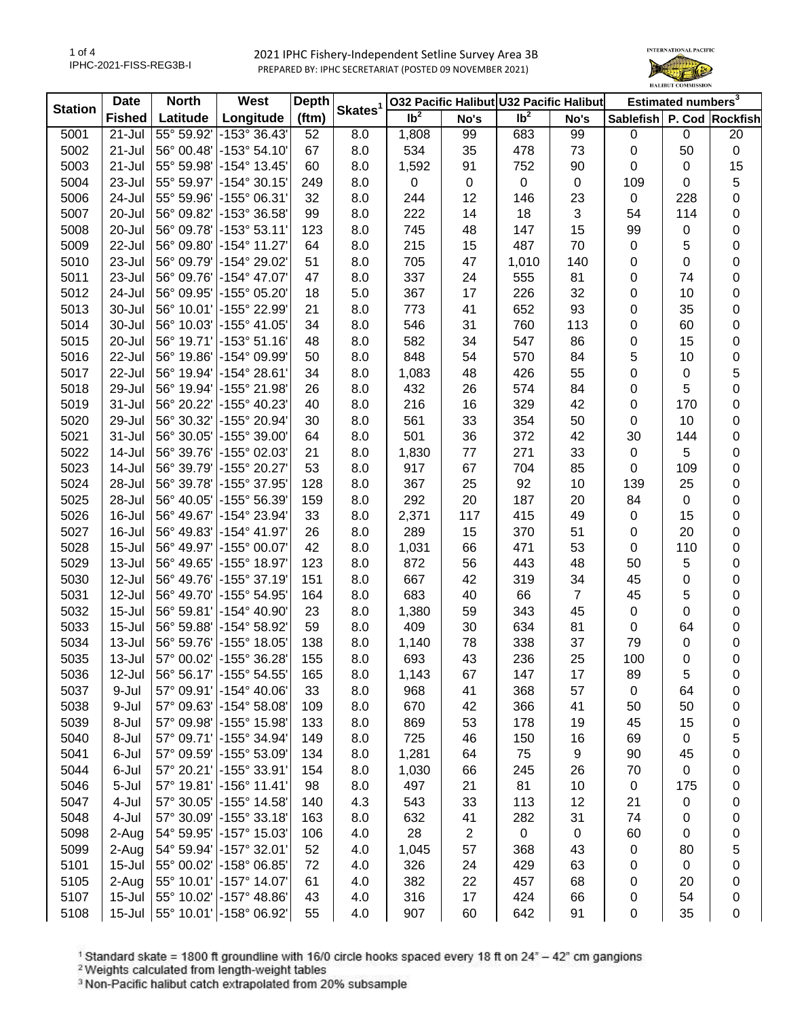2021 IPHC Fishery-Independent Setline Survey Area 3B PREPARED BY: IPHC SECRETARIAT (POSTED 09 NOVEMBER 2021)



| <b>Station</b> | Date          | <b>North</b> | West                     | <b>Depth</b> |                     | 032 Pacific Halibut U32 Pacific Halibut |                |                 |                | Estimated numbers <sup>3</sup> |             |           |
|----------------|---------------|--------------|--------------------------|--------------|---------------------|-----------------------------------------|----------------|-----------------|----------------|--------------------------------|-------------|-----------|
|                | <b>Fished</b> | Latitude     | Longitude                | (ftm)        | Skates <sup>1</sup> | $\overline{1}b^2$                       | No's           | Ib <sup>2</sup> | No's           | Sablefish P. Cod Rockfish      |             |           |
| 5001           | $21 -$ Jul    | 55° 59.92'   | -153° 36.43'             | 52           | 8.0                 | 1,808                                   | 99             | 683             | 99             | 0                              | $\mathbf 0$ | 20        |
| 5002           | $21 -$ Jul    |              | 56° 00.48' - 153° 54.10' | 67           | 8.0                 | 534                                     | 35             | 478             | 73             | 0                              | 50          | $\pmb{0}$ |
| 5003           | $21 -$ Jul    |              | 55° 59.98' - 154° 13.45' | 60           | 8.0                 | 1,592                                   | 91             | 752             | 90             | 0                              | 0           | 15        |
| 5004           | 23-Jul        |              | 55° 59.97' - 154° 30.15' | 249          | 8.0                 | $\pmb{0}$                               | 0              | 0               | $\pmb{0}$      | 109                            | 0           | 5         |
| 5006           | 24-Jul        | 55° 59.96'   | $-155^{\circ}$ 06.31'    | 32           | 8.0                 | 244                                     | 12             | 146             | 23             | 0                              | 228         | 0         |
| 5007           | 20-Jul        | 56° 09.82'   | -153° 36.58'             | 99           | 8.0                 | 222                                     | 14             | 18              | $\mathfrak{B}$ | 54                             | 114         | 0         |
| 5008           | 20-Jul        | 56° 09.78'   | -153° 53.11'             | 123          | 8.0                 | 745                                     | 48             | 147             | 15             | 99                             | 0           | 0         |
| 5009           | 22-Jul        | 56° 09.80'   | -154° 11.27'             | 64           | 8.0                 | 215                                     | 15             | 487             | 70             | $\pmb{0}$                      | 5           | 0         |
| 5010           | 23-Jul        | 56° 09.79'   | -154° 29.02'             | 51           | 8.0                 | 705                                     | 47             | 1,010           | 140            | 0                              | 0           | 0         |
| 5011           | 23-Jul        | 56° 09.76'   | -154° 47.07'             | 47           | 8.0                 | 337                                     | 24             | 555             | 81             | 0                              | 74          | 0         |
| 5012           | 24-Jul        |              | 56° 09.95' -155° 05.20'  | 18           | 5.0                 | 367                                     | 17             | 226             | 32             | 0                              | 10          | 0         |
| 5013           | 30-Jul        |              | 56° 10.01' - 155° 22.99' | 21           | 8.0                 | 773                                     | 41             | 652             | 93             | $\pmb{0}$                      | 35          | 0         |
| 5014           | 30-Jul        |              | 56° 10.03' - 155° 41.05' | 34           | 8.0                 | 546                                     | 31             | 760             | 113            | 0                              | 60          | 0         |
| 5015           | 20-Jul        | 56° 19.71'   | -153° 51.16'             | 48           | 8.0                 | 582                                     | 34             | 547             | 86             | 0                              | 15          | 0         |
| 5016           | 22-Jul        | 56° 19.86'   | -154° 09.99′             | 50           | 8.0                 | 848                                     | 54             | 570             | 84             | 5                              | 10          | 0         |
| 5017           | 22-Jul        | 56° 19.94'   | -154° 28.61'             | 34           | 8.0                 | 1,083                                   | 48             | 426             | 55             | 0                              | 0           | 5         |
| 5018           | 29-Jul        | 56° 19.94'   | -155° 21.98′             | 26           | 8.0                 | 432                                     | 26             | 574             | 84             | 0                              | 5           | 0         |
| 5019           | 31-Jul        |              | 56° 20.22' - 155° 40.23' | 40           | 8.0                 | 216                                     | 16             | 329             | 42             | 0                              | 170         | 0         |
| 5020           | 29-Jul        |              | 56° 30.32' -155° 20.94'  | 30           | 8.0                 | 561                                     | 33             | 354             | 50             | 0                              | 10          | 0         |
| 5021           | $31 -$ Jul    |              | 56° 30.05' - 155° 39.00' | 64           | 8.0                 | 501                                     | 36             | 372             | 42             | 30                             | 144         | 0         |
| 5022           | 14-Jul        | 56° 39.76'   | -155° 02.03'             | 21           | 8.0                 | 1,830                                   | 77             | 271             | 33             | $\pmb{0}$                      | 5           | 0         |
| 5023           | 14-Jul        | 56° 39.79'   | -155° 20.27'             | 53           | 8.0                 | 917                                     | 67             | 704             | 85             | 0                              | 109         | 0         |
| 5024           | 28-Jul        | 56° 39.78'   | -155° 37.95'             | 128          | 8.0                 | 367                                     | 25             | 92              | 10             | 139                            | 25          | 0         |
| 5025           | 28-Jul        | 56° 40.05'   | $\mid$ -155° 56.39'      | 159          | 8.0                 | 292                                     | 20             | 187             | 20             | 84                             | 0           | 0         |
| 5026           | 16-Jul        | 56° 49.67'   | -154° 23.94'             | 33           | 8.0                 | 2,371                                   | 117            | 415             | 49             | 0                              | 15          | 0         |
| 5027           | 16-Jul        |              | 56° 49.83' - 154° 41.97' | 26           | 8.0                 | 289                                     | 15             | 370             | 51             | $\pmb{0}$                      | 20          | 0         |
| 5028           | $15 -$ Jul    |              | 56° 49.97' - 155° 00.07' | 42           | 8.0                 | 1,031                                   | 66             | 471             | 53             | 0                              | 110         | 0         |
| 5029           | $13 -$ Jul    |              | 56° 49.65' - 155° 18.97' | 123          | 8.0                 | 872                                     | 56             | 443             | 48             | 50                             | 5           | 0         |
| 5030           | 12-Jul        |              | 56° 49.76' - 155° 37.19' | 151          | 8.0                 | 667                                     | 42             | 319             | 34             | 45                             | 0           | 0         |
| 5031           | 12-Jul        |              | 56° 49.70' - 155° 54.95' | 164          | 8.0                 | 683                                     | 40             | 66              | $\overline{7}$ | 45                             | 5           |           |
| 5032           | $15 -$ Jul    |              | 56° 59.81' - 154° 40.90' | 23           |                     |                                         |                | 343             |                | $\pmb{0}$                      | 0           | 0         |
| 5033           | $15 -$ Jul    |              | 56° 59.88' - 154° 58.92' | 59           | 8.0                 | 1,380<br>409                            | 59             | 634             | 45<br>81       | 0                              | 64          | 0         |
| 5034           | 13-Jul        | 56° 59.76'   | -155° 18.05'             | 138          | 8.0                 | 1,140                                   | 30             | 338             | 37             | 79                             |             | 0         |
|                |               |              |                          |              | 8.0                 |                                         | 78             |                 |                |                                | 0           | 0         |
| 5035           | 13-Jul        |              | 57° 00.02' - 155° 36.28' | 155          | 8.0                 | 693                                     | 43             | 236             | 25             | 100                            | 0           | 0         |
| 5036           | 12-Jul        |              | 56° 56.17' - 155° 54.55' | 165          | 8.0                 | 1,143                                   | 67             | 147             | 17             | 89                             | 5           | 0         |
| 5037           | 9-Jul         |              | 57° 09.91' - 154° 40.06' | 33           | 8.0                 | 968                                     | 41             | 368             | 57             | 0                              | 64          | 0         |
| 5038           | 9-Jul         |              | 57° 09.63' - 154° 58.08' | 109          | 8.0                 | 670                                     | 42             | 366             | 41             | 50                             | 50          | 0         |
| 5039           | 8-Jul         |              | 57° 09.98' -155° 15.98'  | 133          | 8.0                 | 869                                     | 53             | 178             | 19             | 45                             | 15          | 0         |
| 5040           | 8-Jul         | 57° 09.71'   | -155° 34.94'             | 149          | 8.0                 | 725                                     | 46             | 150             | 16             | 69                             | 0           | 5         |
| 5041           | 6-Jul         |              | 57° 09.59' -155° 53.09'  | 134          | 8.0                 | 1,281                                   | 64             | 75              | 9              | 90                             | 45          | 0         |
| 5044           | 6-Jul         |              | 57° 20.21' - 155° 33.91' | 154          | 8.0                 | 1,030                                   | 66             | 245             | 26             | 70                             | $\pmb{0}$   | 0         |
| 5046           | 5-Jul         |              | 57° 19.81' - 156° 11.41' | 98           | 8.0                 | 497                                     | 21             | 81              | 10             | 0                              | 175         | 0         |
| 5047           | 4-Jul         |              | 57° 30.05' - 155° 14.58' | 140          | 4.3                 | 543                                     | 33             | 113             | 12             | 21                             | $\mathbf 0$ | 0         |
| 5048           | 4-Jul         |              | 57° 30.09' - 155° 33.18' | 163          | 8.0                 | 632                                     | 41             | 282             | 31             | 74                             | 0           | 0         |
| 5098           | 2-Aug         |              | 54° 59.95' - 157° 15.03' | 106          | 4.0                 | 28                                      | $\overline{c}$ | $\mathbf 0$     | $\mathbf 0$    | 60                             | $\mathbf 0$ | 0         |
| 5099           | 2-Aug         |              | 54° 59.94' -157° 32.01'  | 52           | 4.0                 | 1,045                                   | 57             | 368             | 43             | $\pmb{0}$                      | 80          | 5         |
| 5101           | $15 -$ Jul    |              | 55° 00.02' - 158° 06.85' | 72           | 4.0                 | 326                                     | 24             | 429             | 63             | 0                              | 0           | 0         |
| 5105           | 2-Aug         |              | 55° 10.01' - 157° 14.07' | 61           | 4.0                 | 382                                     | 22             | 457             | 68             | 0                              | 20          | 0         |
| 5107           | $15 -$ Jul    |              | 55° 10.02' - 157° 48.86' | 43           | 4.0                 | 316                                     | 17             | 424             | 66             | 0                              | 54          | 0         |
| 5108           | $15 -$ Jul    |              | 55° 10.01' - 158° 06.92' | 55           | 4.0                 | 907                                     | 60             | 642             | 91             | $\pmb{0}$                      | 35          | 0         |

<sup>1</sup> Standard skate = 1800 ft groundline with 16/0 circle hooks spaced every 18 ft on 24<sup>\*</sup> – 42<sup>\*</sup> cm gangions <sup>2</sup> Weights calculated from length-weight tables<br><sup>2</sup> Weights calculated from length-weight tables<br><sup>3</sup> Non-Paci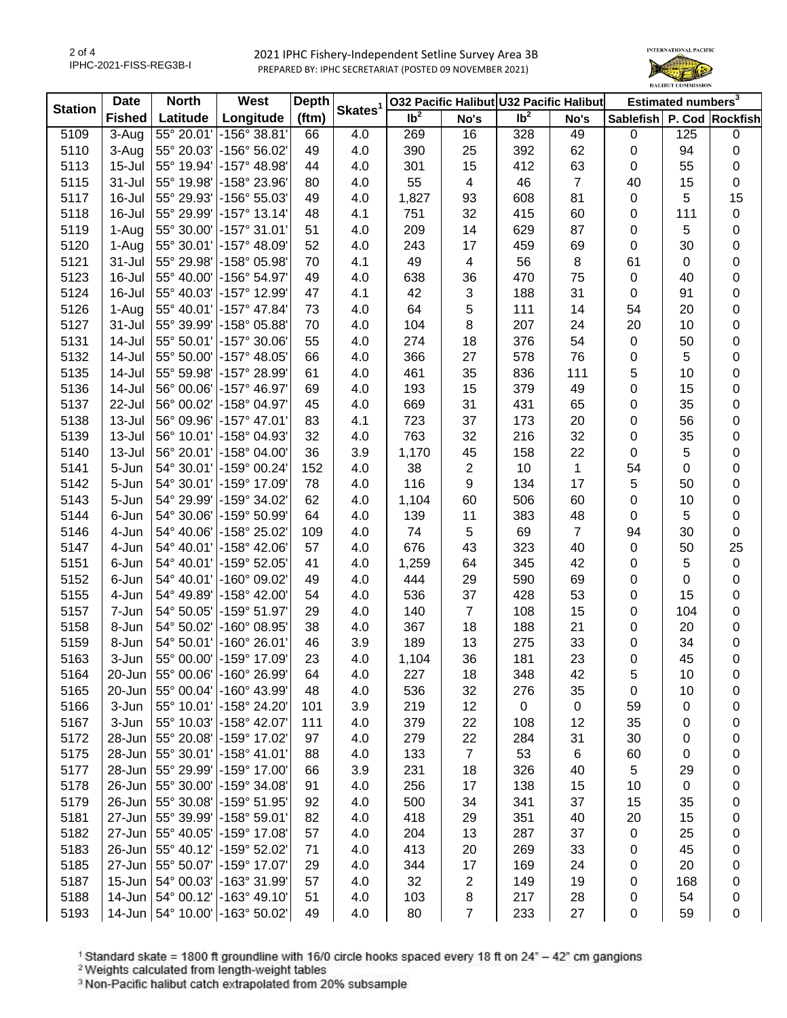2021 IPHC Fishery-Independent Setline Survey Area 3B PREPARED BY: IPHC SECRETARIAT (POSTED 09 NOVEMBER 2021)



| <b>Station</b> | <b>Date</b>   | <b>North</b>        | West                              | <b>Depth</b> |                     | 032 Pacific Halibut U32 Pacific Halibut |                  |                 |                | Estimated numbers <sup>3</sup> |     |           |
|----------------|---------------|---------------------|-----------------------------------|--------------|---------------------|-----------------------------------------|------------------|-----------------|----------------|--------------------------------|-----|-----------|
|                | <b>Fished</b> | Latitude            | Longitude                         | (ftm)        | Skates <sup>1</sup> | $\overline{\mathsf{lb}^2}$              | No's             | Ib <sup>2</sup> | No's           | Sablefish P. Cod Rockfish      |     |           |
| 5109           | 3-Aug         | 55° 20.01'          | -156° 38.81′                      | 66           | 4.0                 | 269                                     | 16               | 328             | 49             | 0                              | 125 | 0         |
| 5110           | 3-Aug         | 55° 20.03'          | -156° 56.02'                      | 49           | 4.0                 | 390                                     | 25               | 392             | 62             | 0                              | 94  | 0         |
| 5113           | $15 -$ Jul    | 55° 19.94'          | -157° 48.98'                      | 44           | 4.0                 | 301                                     | 15               | 412             | 63             | 0                              | 55  | 0         |
| 5115           | 31-Jul        | 55° 19.98'          | -158° 23.96'                      | 80           | 4.0                 | 55                                      | 4                | 46              | $\overline{7}$ | 40                             | 15  | $\pmb{0}$ |
| 5117           | 16-Jul        | 55° 29.93'          | -156° 55.03'                      | 49           | 4.0                 | 1,827                                   | 93               | 608             | 81             | 0                              | 5   | 15        |
| 5118           | 16-Jul        | 55° 29.99'          | $-157°$ 13.14                     | 48           | 4.1                 | 751                                     | 32               | 415             | 60             | 0                              | 111 | 0         |
| 5119           | 1-Aug         | 55° 30.00'          | -157° 31.01'                      | 51           | 4.0                 | 209                                     | 14               | 629             | 87             | 0                              | 5   | 0         |
| 5120           | 1-Aug         | 55° 30.01'          | -157° 48.09'                      | 52           | 4.0                 | 243                                     | 17               | 459             | 69             | 0                              | 30  | 0         |
| 5121           | 31-Jul        | 55° 29.98'          | -158° 05.98'                      | 70           | 4.1                 | 49                                      | 4                | 56              | 8              | 61                             | 0   | 0         |
| 5123           | 16-Jul        | 55° 40.00'          | -156° 54.97'                      | 49           | 4.0                 | 638                                     | 36               | 470             | 75             | $\pmb{0}$                      | 40  | 0         |
| 5124           | 16-Jul        | 55° 40.03'          | -157° 12.99'                      | 47           | 4.1                 | 42                                      | 3                | 188             | 31             | 0                              | 91  | 0         |
| 5126           | 1-Aug         | 55° 40.01'          | -157° 47.84'                      | 73           | 4.0                 | 64                                      | 5                | 111             | 14             | 54                             | 20  | 0         |
| 5127           | 31-Jul        | 55° 39.99'          | -158° 05.88'                      | 70           | 4.0                 | 104                                     | 8                | 207             | 24             | 20                             | 10  | 0         |
| 5131           | 14-Jul        | 55° 50.01'          | $-157^{\circ}$ 30.06              | 55           | 4.0                 | 274                                     | 18               | 376             | 54             | 0                              | 50  | 0         |
| 5132           | 14-Jul        | 55° 50.00'          | $-157^{\circ}$ 48.05              | 66           | 4.0                 | 366                                     | 27               | 578             | 76             | 0                              | 5   | 0         |
| 5135           | 14-Jul        | 55° 59.98'          | -157° 28.99'                      | 61           | 4.0                 | 461                                     | 35               | 836             | 111            | 5                              | 10  | 0         |
| 5136           | 14-Jul        | 56° 00.06'          | $-157^{\circ}$ 46.97              | 69           | 4.0                 | 193                                     | 15               | 379             | 49             | 0                              | 15  | 0         |
| 5137           | 22-Jul        | 56° 00.02'          | -158° 04.97'                      | 45           | 4.0                 | 669                                     | 31               | 431             | 65             | 0                              | 35  | 0         |
| 5138           | 13-Jul        | 56° 09.96'          | -157° 47.01'                      | 83           | 4.1                 | 723                                     | 37               | 173             | 20             | 0                              | 56  | 0         |
| 5139           | 13-Jul        | 56° 10.01'          | -158° 04.93'                      | 32           | 4.0                 | 763                                     | 32               | 216             | 32             | 0                              | 35  | 0         |
| 5140           | 13-Jul        | 56° 20.01'          | $-158^{\circ}$ 04.00              | 36           | 3.9                 | 1,170                                   | 45               | 158             | 22             | 0                              | 5   | 0         |
| 5141           | 5-Jun         | 54° 30.01'          | -159° 00.24'                      | 152          | 4.0                 | 38                                      | 2                | 10              | 1              | 54                             | 0   | 0         |
| 5142           | 5-Jun         | 54° 30.01'          | -159° 17.09'                      | 78           | 4.0                 | 116                                     | 9                | 134             | 17             | 5                              | 50  | 0         |
| 5143           | 5-Jun         | 54° 29.99'          | -159° 34.02'                      | 62           | 4.0                 | 1,104                                   | 60               | 506             | 60             | 0                              | 10  | 0         |
| 5144           | 6-Jun         | 54° 30.06'          | -159° 50.99'                      | 64           | 4.0                 | 139                                     | 11               | 383             | 48             | 0                              | 5   | 0         |
| 5146           | 4-Jun         | 54° 40.06'          | -158° 25.02'                      | 109          | 4.0                 | 74                                      | $\sqrt{5}$       | 69              | $\overline{7}$ | 94                             | 30  | $\pmb{0}$ |
| 5147           | 4-Jun         | 54° 40.01'          | -158° 42.06'                      | 57           | 4.0                 | 676                                     | 43               | 323             | 40             | $\pmb{0}$                      | 50  | 25        |
| 5151           | 6-Jun         | 54° 40.01'          | $-159^{\circ}$ 52.05'             | 41           | 4.0                 | 1,259                                   | 64               | 345             | 42             | 0                              | 5   | $\pmb{0}$ |
| 5152           | 6-Jun         | 54° 40.01'          | $-160^{\circ}$ 09.02'             | 49           | 4.0                 | 444                                     | 29               | 590             | 69             | 0                              | 0   | 0         |
| 5155           | 4-Jun         | 54° 49.89'          | -158° 42.00'                      | 54           | 4.0                 | 536                                     | 37               | 428             | 53             | 0                              | 15  | 0         |
| 5157           | 7-Jun         | 54° 50.05'          | $-159°51.97$                      | 29           | 4.0                 | 140                                     | $\overline{7}$   | 108             | 15             | 0                              | 104 | 0         |
| 5158           | 8-Jun         | 54° 50.02'          | -160° 08.95'                      | 38           | 4.0                 | 367                                     | 18               | 188             | 21             | 0                              | 20  | 0         |
| 5159           | 8-Jun         | 54° 50.01'          | $-160^{\circ}$ 26.01              | 46           | 3.9                 | 189                                     | 13               | 275             | 33             | 0                              | 34  | 0         |
| 5163           | 3-Jun         | 55° 00.00'          | -159° 17.09'                      | 23           | 4.0                 | 1,104                                   | 36               | 181             | 23             | 0                              | 45  | 0         |
| 5164           |               |                     | 20-Jun   55° 00.06' - 160° 26.99' | 64           | 4.0                 | 227                                     | 18               | 348             | 42             | 5                              | 10  | 0         |
| 5165           | 20-Jun        |                     | 55° 00.04' - 160° 43.99'          | 48           | 4.0                 | 536                                     | 32               | 276             | 35             | 0                              | 10  | 0         |
| 5166           | 3-Jun         | 55° 10.01'          | -158° 24.20'                      | 101          | 3.9                 | 219                                     | 12               | 0               | $\pmb{0}$      | 59                             | 0   | 0         |
| 5167           | 3-Jun         | 55° 10.03'          | -158° 42.07'                      | 111          | 4.0                 | 379                                     | 22               | 108             | 12             | 35                             | 0   | 0         |
| 5172           | 28-Jun        | 55° 20.08'          | -159° 17.02'                      | 97           | 4.0                 | 279                                     | 22               | 284             | 31             | 30                             | 0   | 0         |
| 5175           | 28-Jun        | 55° 30.01'          | -158° 41.01'                      | 88           | 4.0                 | 133                                     | $\boldsymbol{7}$ | 53              | 6              | 60                             | 0   |           |
| 5177           |               | 28-Jun 55° 29.99'   | -159° 17.00'                      |              | 3.9                 | 231                                     | 18               | 326             | 40             | 5                              | 29  | 0         |
|                |               | 26-Jun 55° 30.00'   | -159° 34.08'                      | 66           |                     |                                         |                  |                 |                |                                |     | 0         |
| 5178           |               |                     |                                   | 91           | 4.0                 | 256                                     | 17               | 138             | 15             | 10                             | 0   | 0         |
| 5179           |               | 26-Jun 55° 30.08'   | -159° 51.95'                      | 92           | 4.0                 | 500                                     | 34               | 341             | 37             | 15                             | 35  | 0         |
| 5181           |               |                     | 27-Jun 55° 39.99' - 158° 59.01'   | 82           | 4.0                 | 418                                     | 29               | 351             | 40             | 20                             | 15  | 0         |
| 5182           |               | 27-Jun 55° 40.05'   | -159° 17.08'                      | 57           | 4.0                 | 204                                     | 13               | 287             | 37             | 0                              | 25  | 0         |
| 5183           |               | 26-Jun 55° 40.12'   | -159° 52.02'                      | 71           | 4.0                 | 413                                     | 20               | 269             | 33             | 0                              | 45  | 0         |
| 5185           |               |                     | 27-Jun 55° 50.07' - 159° 17.07'   | 29           | 4.0                 | 344                                     | 17               | 169             | 24             | 0                              | 20  | 0         |
| 5187           |               | 15-Jun   54° 00.03' | -163° 31.99'                      | 57           | 4.0                 | 32                                      | 2                | 149             | 19             | 0                              | 168 | 0         |
| 5188           |               |                     | 14-Jun 54° 00.12' -163° 49.10'    | 51           | 4.0                 | 103                                     | 8                | 217             | 28             | 0                              | 54  | 0         |
| 5193           |               |                     | 14-Jun   54° 10.00' - 163° 50.02' | 49           | 4.0                 | 80                                      | $\overline{7}$   | 233             | 27             | $\pmb{0}$                      | 59  | 0         |

<sup>1</sup> Standard skate = 1800 ft groundline with 16/0 circle hooks spaced every 18 ft on 24<sup>\*</sup> – 42<sup>\*</sup> cm gangions <sup>2</sup> Weights calculated from length-weight tables<br><sup>2</sup> Weights calculated from length-weight tables<br><sup>3</sup> Non-Paci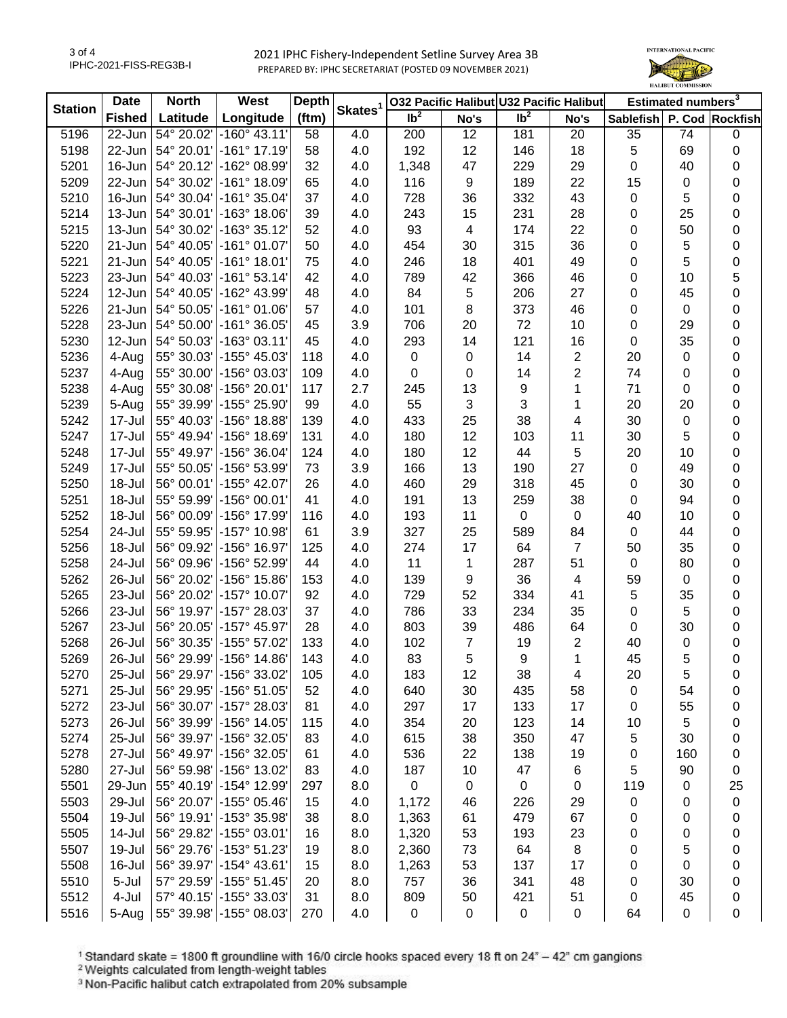2021 IPHC Fishery-Independent Setline Survey Area 3B PREPARED BY: IPHC SECRETARIAT (POSTED 09 NOVEMBER 2021)



| <b>Station</b> | <b>Date</b>   | <b>North</b>                 | West                    | <b>Depth</b> | Skates <sup>1</sup> | 032 Pacific Halibut U32 Pacific Halibut |                |                 |                         | Estimated numbers <sup>3</sup> |                  |           |
|----------------|---------------|------------------------------|-------------------------|--------------|---------------------|-----------------------------------------|----------------|-----------------|-------------------------|--------------------------------|------------------|-----------|
|                | <b>Fished</b> | Latitude                     | Longitude               | (ftm)        |                     | $\overline{1}b^2$                       | No's           | Ib <sup>2</sup> | No's                    | Sablefish P. Cod Rockfish      |                  |           |
| 5196           | $22 - Jun$    | 54° 20.02'                   | $-160^{\circ}$ 43.11'   | 58           | 4.0                 | 200                                     | 12             | 181             | 20                      | 35                             | 74               | $\pmb{0}$ |
| 5198           | 22-Jun        | 54° 20.01'                   | -161° 17.19'            | 58           | 4.0                 | 192                                     | 12             | 146             | 18                      | 5                              | 69               | 0         |
| 5201           | 16-Jun        | 54° 20.12'                   | -162° 08.99'            | 32           | 4.0                 | 1,348                                   | 47             | 229             | 29                      | 0                              | 40               | 0         |
| 5209           | 22-Jun        | 54° 30.02'                   | $-161°$ 18.09'          | 65           | 4.0                 | 116                                     | 9              | 189             | 22                      | 15                             | 0                | 0         |
| 5210           | 16-Jun        | 54° 30.04'                   | -161° 35.04'            | 37           | 4.0                 | 728                                     | 36             | 332             | 43                      | $\pmb{0}$                      | 5                | 0         |
| 5214           | 13-Jun        | 54° 30.01'                   | -163° 18.06'            | 39           | 4.0                 | 243                                     | 15             | 231             | 28                      | 0                              | 25               | 0         |
| 5215           | 13-Jun        | 54° 30.02'                   | -163° 35.12'            | 52           | 4.0                 | 93                                      | 4              | 174             | 22                      | 0                              | 50               | 0         |
| 5220           | 21-Jun        | 54° 40.05'                   | $-161°01.07'$           | 50           | 4.0                 | 454                                     | 30             | 315             | 36                      | 0                              | 5                | 0         |
| 5221           | $21 - Jun$    | $ 54^{\circ} 40.05^{\circ} $ | $-161°$ 18.01           | 75           | 4.0                 | 246                                     | 18             | 401             | 49                      | 0                              | 5                | 0         |
| 5223           |               | 23-Jun 54° 40.03'            | $-161°53.14'$           | 42           | 4.0                 | 789                                     | 42             | 366             | 46                      | 0                              | 10               | 5         |
| 5224           |               | 12-Jun 54° 40.05'            | -162° 43.99'            | 48           | 4.0                 | 84                                      | 5              | 206             | 27                      | 0                              | 45               | 0         |
| 5226           | 21-Jun        | $ 54^{\circ} 50.05^{\circ} $ | $-161°01.06'$           | 57           | 4.0                 | 101                                     | 8              | 373             | 46                      | $\mathbf 0$                    | $\mathbf 0$      | 0         |
| 5228           | 23-Jun        | $ 54^{\circ} 50.00^{\circ} $ | $-161°36.05'$           | 45           | 3.9                 | 706                                     | 20             | 72              | 10                      | $\pmb{0}$                      | 29               | 0         |
| 5230           | 12-Jun        | 54° 50.03'                   | $-163°03.11'$           | 45           | 4.0                 | 293                                     | 14             | 121             | 16                      | $\mathbf 0$                    | 35               | 0         |
| 5236           | 4-Aug         | 55° 30.03'                   | -155° 45.03'            | 118          | 4.0                 | $\pmb{0}$                               | $\pmb{0}$      | 14              | 2                       | 20                             | $\mathbf 0$      | 0         |
| 5237           | 4-Aug         | 55° 30.00'                   | -156° 03.03'            | 109          | 4.0                 | $\pmb{0}$                               | 0              | 14              | $\overline{\mathbf{c}}$ | 74                             | $\boldsymbol{0}$ | 0         |
| 5238           | 4-Aug         | 55° 30.08'                   | $-156°$ 20.01           | 117          | 2.7                 | 245                                     | 13             | 9               | 1                       | 71                             | 0                | 0         |
| 5239           | 5-Aug         | 55° 39.99'                   | -155° 25.90'            | 99           | 4.0                 | 55                                      | 3              | $\sqrt{3}$      | 1                       | 20                             | 20               | 0         |
| 5242           | 17-Jul        | 55° 40.03'                   | $-156^{\circ}$ 18.88    | 139          | 4.0                 | 433                                     | 25             | 38              | 4                       | 30                             | $\boldsymbol{0}$ | 0         |
| 5247           | 17-Jul        | 55° 49.94'                   | $-156^{\circ}$ 18.69    | 131          | 4.0                 | 180                                     | 12             | 103             | 11                      | 30                             | 5                | 0         |
| 5248           | 17-Jul        | 55° 49.97'                   | -156° 36.04             | 124          | 4.0                 | 180                                     | 12             | 44              | 5                       | 20                             | 10               | 0         |
| 5249           | 17-Jul        | 55° 50.05'                   | -156° 53.99'            | 73           |                     |                                         |                | 190             | 27                      | $\pmb{0}$                      |                  |           |
|                | 18-Jul        |                              | -155° 42.07'            |              | 3.9                 | 166                                     | 13             |                 |                         |                                | 49               | 0         |
| 5250           |               | 56° 00.01'                   |                         | 26           | 4.0                 | 460                                     | 29             | 318             | 45                      | $\pmb{0}$                      | 30               | 0         |
| 5251           | 18-Jul        | 55° 59.99'                   | -156° 00.01'            | 41           | 4.0                 | 191                                     | 13             | 259             | 38                      | $\mathbf 0$                    | 94               | 0         |
| 5252           | 18-Jul        | 56° 00.09'                   | -156° 17.99'            | 116          | 4.0                 | 193                                     | 11             | $\mathbf 0$     | $\mathbf 0$             | 40                             | 10               | 0         |
| 5254           | 24-Jul        | 55° 59.95'                   | -157° 10.98'            | 61           | 3.9                 | 327                                     | 25             | 589             | 84                      | $\pmb{0}$                      | 44               | 0         |
| 5256           | 18-Jul        | 56° 09.92'                   | -156° 16.97'            | 125          | 4.0                 | 274                                     | 17             | 64              | $\overline{7}$          | 50                             | 35               | 0         |
| 5258           | 24-Jul        | 56° 09.96'                   | -156° 52.99'            | 44           | 4.0                 | 11                                      | 1              | 287             | 51                      | $\pmb{0}$                      | 80               | 0         |
| 5262           | 26-Jul        | 56° 20.02'                   | -156° 15.86'            | 153          | 4.0                 | 139                                     | 9              | 36              | 4                       | 59                             | $\mathbf 0$      | 0         |
| 5265           | 23-Jul        | 56° 20.02'                   | $-157^{\circ}$ 10.07    | 92           | 4.0                 | 729                                     | 52             | 334             | 41                      | $\sqrt{5}$                     | 35               | 0         |
| 5266           | 23-Jul        | 56° 19.97'                   | -157° 28.03'            | 37           | 4.0                 | 786                                     | 33             | 234             | 35                      | $\pmb{0}$                      | 5                | $\pmb{0}$ |
| 5267           | 23-Jul        | 56° 20.05'                   | -157° 45.97'            | 28           | 4.0                 | 803                                     | 39             | 486             | 64                      | $\pmb{0}$                      | 30               | 0         |
| 5268           | 26-Jul        | 56° 30.35'                   | -155° 57.02'            | 133          | 4.0                 | 102                                     | $\overline{7}$ | 19              | 2                       | 40                             | $\mathbf 0$      | 0         |
| 5269           | 26-Jul        | 56° 29.99'                   | $-156^{\circ}$ 14.86    | 143          | 4.0                 | 83                                      | 5              | 9               | $\mathbf{1}$            | 45                             | 5                | 0         |
| 5270           | 25-Jul        |                              | 56° 29.97' - 156° 33.02 | 105          | 4.0                 | 183                                     | 12             | 38              | 4                       | 20                             | 5                | 0         |
| 5271           | 25-Jul        | 56° 29.95'                   | $-156^{\circ} 51.05$    | 52           | 4.0                 | 640                                     | 30             | 435             | 58                      | 0                              | 54               | 0         |
| 5272           | 23-Jul        | 56° 30.07'                   | -157° 28.03'            | 81           | 4.0                 | 297                                     | 17             | 133             | 17                      | 0                              | 55               | 0         |
| 5273           | 26-Jul        | 56° 39.99'                   | $-156^{\circ}$ 14.05    | 115          | 4.0                 | 354                                     | 20             | 123             | 14                      | 10                             | 5                | 0         |
| 5274           | 25-Jul        | 56° 39.97'                   | -156° 32.05'            | 83           | 4.0                 | 615                                     | 38             | 350             | 47                      | 5                              | 30               | 0         |
| 5278           | 27-Jul        | 56° 49.97'                   | -156° 32.05'            | 61           | 4.0                 | 536                                     | 22             | 138             | 19                      | 0                              | 160              | 0         |
| 5280           | 27-Jul        | 56° 59.98'                   | -156° 13.02'            | 83           | 4.0                 | 187                                     | 10             | 47              | 6                       | 5                              | 90               | 0         |
| 5501           | 29-Jun        | 55° 40.19'                   | -154° 12.99'            | 297          | 8.0                 | 0                                       | 0              | $\mathbf 0$     | 0                       | 119                            | 0                | 25        |
| 5503           | 29-Jul        | 56° 20.07'                   | $-155^{\circ}$ 05.46    | 15           | 4.0                 | 1,172                                   | 46             | 226             | 29                      | 0                              | 0                | 0         |
| 5504           | 19-Jul        | 56° 19.91'                   | -153° 35.98'            | 38           | 8.0                 | 1,363                                   | 61             | 479             | 67                      | 0                              | 0                | 0         |
| 5505           | 14-Jul        | 56° 29.82'                   | -155° 03.01'            | 16           | 8.0                 | 1,320                                   | 53             | 193             | 23                      | 0                              | 0                | 0         |
| 5507           | 19-Jul        | 56° 29.76'                   | -153° 51.23'            | 19           | 8.0                 | 2,360                                   | 73             | 64              | 8                       | 0                              | 5                | 0         |
| 5508           | 16-Jul        | 56° 39.97'                   | -154° 43.61'            | 15           | 8.0                 | 1,263                                   | 53             | 137             | 17                      | 0                              | $\boldsymbol{0}$ | 0         |
| 5510           | 5-Jul         | 57° 29.59'                   | $-155^{\circ} 51.45'$   | 20           | 8.0                 | 757                                     | 36             | 341             | 48                      | 0                              | 30               | 0         |
| 5512           | 4-Jul         | 57° 40.15'                   | -155° 33.03'            | 31           | 8.0                 | 809                                     | 50             | 421             | 51                      | 0                              | 45               | 0         |
| 5516           | 5-Aug         |                              | 55° 39.98' -155° 08.03' | 270          | 4.0                 | $\pmb{0}$                               | 0              | $\pmb{0}$       | $\pmb{0}$               | 64                             | $\boldsymbol{0}$ | 0         |

<sup>1</sup> Standard skate = 1800 ft groundline with 16/0 circle hooks spaced every 18 ft on 24<sup>\*</sup> – 42<sup>\*</sup> cm gangions <sup>2</sup> Weights calculated from length-weight tables<br><sup>2</sup> Weights calculated from length-weight tables<br><sup>3</sup> Non-Paci